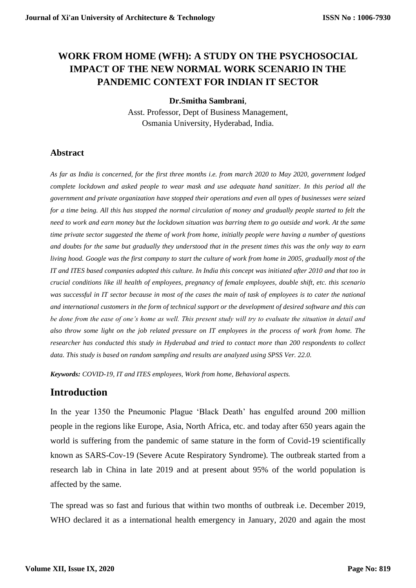# **WORK FROM HOME (WFH): A STUDY ON THE PSYCHOSOCIAL IMPACT OF THE NEW NORMAL WORK SCENARIO IN THE PANDEMIC CONTEXT FOR INDIAN IT SECTOR**

#### **Dr.Smitha Sambrani**,

Asst. Professor, Dept of Business Management, Osmania University, Hyderabad, India.

## **Abstract**

*As far as India is concerned, for the first three months i.e. from march 2020 to May 2020, government lodged complete lockdown and asked people to wear mask and use adequate hand sanitizer. In this period all the government and private organization have stopped their operations and even all types of businesses were seized*  for a time being. All this has stopped the normal circulation of money and gradually people started to felt the *need to work and earn money but the lockdown situation was barring them to go outside and work. At the same time private sector suggested the theme of work from home, initially people were having a number of questions and doubts for the same but gradually they understood that in the present times this was the only way to earn living hood. Google was the first company to start the culture of work from home in 2005, gradually most of the IT and ITES based companies adopted this culture. In India this concept was initiated after 2010 and that too in crucial conditions like ill health of employees, pregnancy of female employees, double shift, etc. this scenario was successful in IT sector because in most of the cases the main of task of employees is to cater the national and international customers in the form of technical support or the development of desired software and this can be done from the ease of one's home as well. This present study will try to evaluate the situation in detail and also throw some light on the job related pressure on IT employees in the process of work from home. The researcher has conducted this study in Hyderabad and tried to contact more than 200 respondents to collect data. This study is based on random sampling and results are analyzed using SPSS Ver. 22.0.* 

*Keywords: COVID-19, IT and ITES employees, Work from home, Behavioral aspects.* 

## **Introduction**

In the year 1350 the Pneumonic Plague 'Black Death' has engulfed around 200 million people in the regions like Europe, Asia, North Africa, etc. and today after 650 years again the world is suffering from the pandemic of same stature in the form of Covid-19 scientifically known as SARS-Cov-19 (Severe Acute Respiratory Syndrome). The outbreak started from a research lab in China in late 2019 and at present about 95% of the world population is affected by the same.

The spread was so fast and furious that within two months of outbreak i.e. December 2019, WHO declared it as a international health emergency in January, 2020 and again the most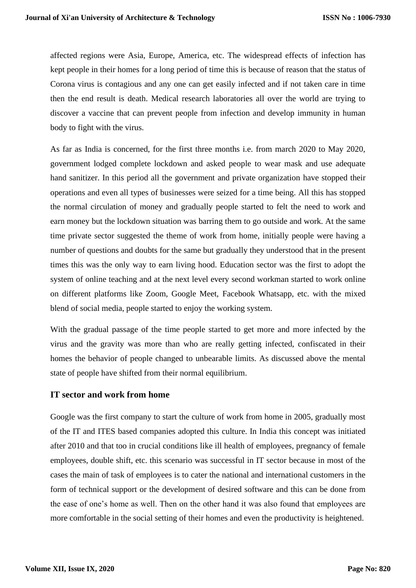affected regions were Asia, Europe, America, etc. The widespread effects of infection has kept people in their homes for a long period of time this is because of reason that the status of Corona virus is contagious and any one can get easily infected and if not taken care in time then the end result is death. Medical research laboratories all over the world are trying to discover a vaccine that can prevent people from infection and develop immunity in human body to fight with the virus.

As far as India is concerned, for the first three months i.e. from march 2020 to May 2020, government lodged complete lockdown and asked people to wear mask and use adequate hand sanitizer. In this period all the government and private organization have stopped their operations and even all types of businesses were seized for a time being. All this has stopped the normal circulation of money and gradually people started to felt the need to work and earn money but the lockdown situation was barring them to go outside and work. At the same time private sector suggested the theme of work from home, initially people were having a number of questions and doubts for the same but gradually they understood that in the present times this was the only way to earn living hood. Education sector was the first to adopt the system of online teaching and at the next level every second workman started to work online on different platforms like Zoom, Google Meet, Facebook Whatsapp, etc. with the mixed blend of social media, people started to enjoy the working system.

With the gradual passage of the time people started to get more and more infected by the virus and the gravity was more than who are really getting infected, confiscated in their homes the behavior of people changed to unbearable limits. As discussed above the mental state of people have shifted from their normal equilibrium.

## **IT sector and work from home**

Google was the first company to start the culture of work from home in 2005, gradually most of the IT and ITES based companies adopted this culture. In India this concept was initiated after 2010 and that too in crucial conditions like ill health of employees, pregnancy of female employees, double shift, etc. this scenario was successful in IT sector because in most of the cases the main of task of employees is to cater the national and international customers in the form of technical support or the development of desired software and this can be done from the ease of one's home as well. Then on the other hand it was also found that employees are more comfortable in the social setting of their homes and even the productivity is heightened.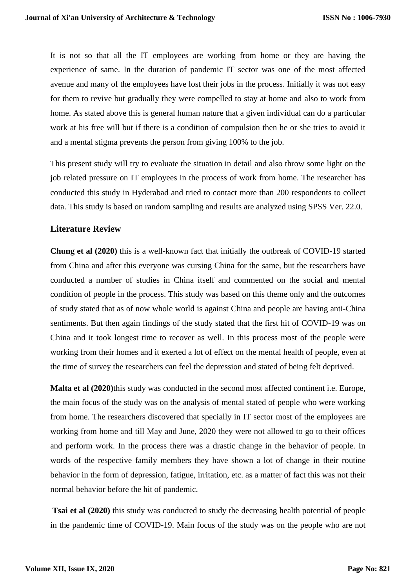It is not so that all the IT employees are working from home or they are having the experience of same. In the duration of pandemic IT sector was one of the most affected avenue and many of the employees have lost their jobs in the process. Initially it was not easy for them to revive but gradually they were compelled to stay at home and also to work from home. As stated above this is general human nature that a given individual can do a particular work at his free will but if there is a condition of compulsion then he or she tries to avoid it and a mental stigma prevents the person from giving 100% to the job.

This present study will try to evaluate the situation in detail and also throw some light on the job related pressure on IT employees in the process of work from home. The researcher has conducted this study in Hyderabad and tried to contact more than 200 respondents to collect data. This study is based on random sampling and results are analyzed using SPSS Ver. 22.0.

#### **Literature Review**

**Chung et al (2020)** this is a well-known fact that initially the outbreak of COVID-19 started from China and after this everyone was cursing China for the same, but the researchers have conducted a number of studies in China itself and commented on the social and mental condition of people in the process. This study was based on this theme only and the outcomes of study stated that as of now whole world is against China and people are having anti-China sentiments. But then again findings of the study stated that the first hit of COVID-19 was on China and it took longest time to recover as well. In this process most of the people were working from their homes and it exerted a lot of effect on the mental health of people, even at the time of survey the researchers can feel the depression and stated of being felt deprived.

**Malta et al (2020)**this study was conducted in the second most affected continent i.e. Europe, the main focus of the study was on the analysis of mental stated of people who were working from home. The researchers discovered that specially in IT sector most of the employees are working from home and till May and June, 2020 they were not allowed to go to their offices and perform work. In the process there was a drastic change in the behavior of people. In words of the respective family members they have shown a lot of change in their routine behavior in the form of depression, fatigue, irritation, etc. as a matter of fact this was not their normal behavior before the hit of pandemic.

**Tsai et al (2020)** this study was conducted to study the decreasing health potential of people in the pandemic time of COVID-19. Main focus of the study was on the people who are not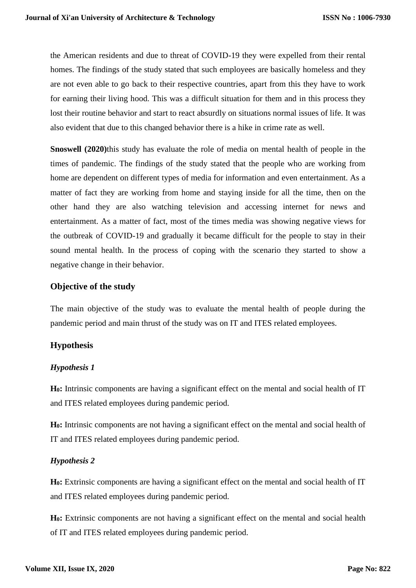the American residents and due to threat of COVID-19 they were expelled from their rental homes. The findings of the study stated that such employees are basically homeless and they are not even able to go back to their respective countries, apart from this they have to work for earning their living hood. This was a difficult situation for them and in this process they lost their routine behavior and start to react absurdly on situations normal issues of life. It was also evident that due to this changed behavior there is a hike in crime rate as well.

**Snoswell (2020)**this study has evaluate the role of media on mental health of people in the times of pandemic. The findings of the study stated that the people who are working from home are dependent on different types of media for information and even entertainment. As a matter of fact they are working from home and staying inside for all the time, then on the other hand they are also watching television and accessing internet for news and entertainment. As a matter of fact, most of the times media was showing negative views for the outbreak of COVID-19 and gradually it became difficult for the people to stay in their sound mental health. In the process of coping with the scenario they started to show a negative change in their behavior.

### **Objective of the study**

The main objective of the study was to evaluate the mental health of people during the pandemic period and main thrust of the study was on IT and ITES related employees.

## **Hypothesis**

#### *Hypothesis 1*

**H0:** Intrinsic components are having a significant effect on the mental and social health of IT and ITES related employees during pandemic period.

**H0:** Intrinsic components are not having a significant effect on the mental and social health of IT and ITES related employees during pandemic period.

#### *Hypothesis 2*

**H0:** Extrinsic components are having a significant effect on the mental and social health of IT and ITES related employees during pandemic period.

**H0:** Extrinsic components are not having a significant effect on the mental and social health of IT and ITES related employees during pandemic period.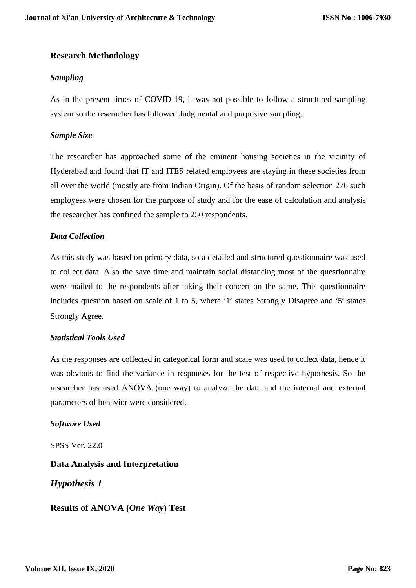## **Research Methodology**

### *Sampling*

As in the present times of COVID-19, it was not possible to follow a structured sampling system so the reseracher has followed Judgmental and purposive sampling.

### *Sample Size*

The researcher has approached some of the eminent housing societies in the vicinity of Hyderabad and found that IT and ITES related employees are staying in these societies from all over the world (mostly are from Indian Origin). Of the basis of random selection 276 such employees were chosen for the purpose of study and for the ease of calculation and analysis the researcher has confined the sample to 250 respondents.

#### *Data Collection*

As this study was based on primary data, so a detailed and structured questionnaire was used to collect data. Also the save time and maintain social distancing most of the questionnaire were mailed to the respondents after taking their concert on the same. This questionnaire includes question based on scale of 1 to 5, where '1' states Strongly Disagree and '5' states Strongly Agree.

## *Statistical Tools Used*

As the responses are collected in categorical form and scale was used to collect data, hence it was obvious to find the variance in responses for the test of respective hypothesis. So the researcher has used ANOVA (one way) to analyze the data and the internal and external parameters of behavior were considered.

#### *Software Used*

SPSS Ver. 22.0

## **Data Analysis and Interpretation**

*Hypothesis 1*

**Results of ANOVA (***One Way***) Test**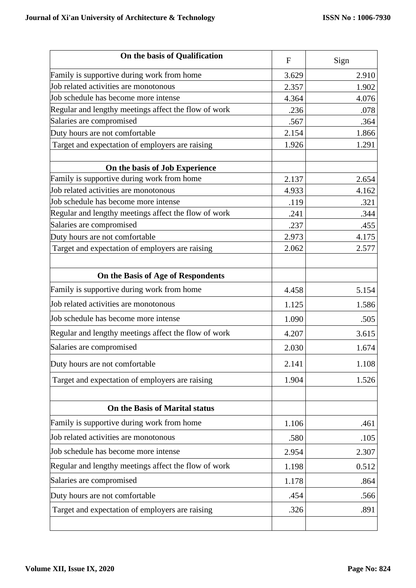| On the basis of Qualification                        | $\mathbf{F}$ | Sign  |
|------------------------------------------------------|--------------|-------|
| Family is supportive during work from home           | 3.629        | 2.910 |
| Job related activities are monotonous                | 2.357        | 1.902 |
| Job schedule has become more intense                 | 4.364        | 4.076 |
| Regular and lengthy meetings affect the flow of work | .236         | .078  |
| Salaries are compromised                             | .567         | .364  |
| Duty hours are not comfortable                       | 2.154        | 1.866 |
| Target and expectation of employers are raising      | 1.926        | 1.291 |
| On the basis of Job Experience                       |              |       |
| Family is supportive during work from home           | 2.137        | 2.654 |
| Job related activities are monotonous                | 4.933        | 4.162 |
| Job schedule has become more intense                 | .119         | .321  |
| Regular and lengthy meetings affect the flow of work | .241         | .344  |
| Salaries are compromised                             | .237         | .455  |
| Duty hours are not comfortable                       | 2.973        | 4.175 |
| Target and expectation of employers are raising      | 2.062        | 2.577 |
| On the Basis of Age of Respondents                   |              |       |
| Family is supportive during work from home           | 4.458        | 5.154 |
| Job related activities are monotonous                | 1.125        | 1.586 |
| Job schedule has become more intense                 | 1.090        | .505  |
| Regular and lengthy meetings affect the flow of work | 4.207        | 3.615 |
| Salaries are compromised                             | 2.030        | 1.674 |
| Duty hours are not comfortable                       | 2.141        | 1.108 |
| Target and expectation of employers are raising      | 1.904        | 1.526 |
|                                                      |              |       |
| On the Basis of Marital status                       |              |       |
| Family is supportive during work from home           | 1.106        | .461  |
| Job related activities are monotonous                | .580         | .105  |
| Job schedule has become more intense                 | 2.954        | 2.307 |
| Regular and lengthy meetings affect the flow of work | 1.198        | 0.512 |
| Salaries are compromised                             | 1.178        | .864  |
| Duty hours are not comfortable                       | .454         | .566  |
| Target and expectation of employers are raising      | .326         | .891  |
|                                                      |              |       |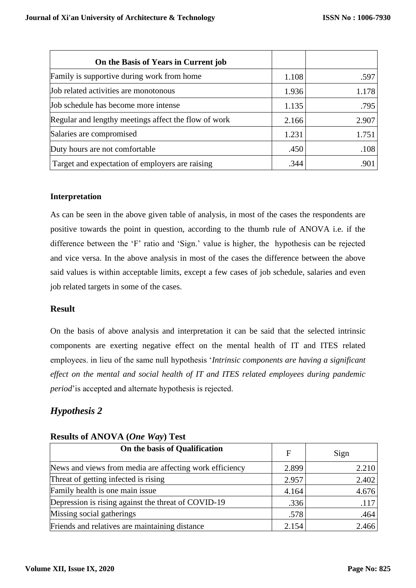| On the Basis of Years in Current job                 |       |       |
|------------------------------------------------------|-------|-------|
| Family is supportive during work from home           | 1.108 | .597  |
| Job related activities are monotonous                | 1.936 | 1.178 |
| Job schedule has become more intense                 | 1.135 | .795  |
| Regular and lengthy meetings affect the flow of work | 2.166 | 2.907 |
| Salaries are compromised                             | 1.231 | 1.751 |
| Duty hours are not comfortable                       | .450  | .108  |
| Target and expectation of employers are raising      | .344  | .901  |

## **Interpretation**

As can be seen in the above given table of analysis, in most of the cases the respondents are positive towards the point in question, according to the thumb rule of ANOVA i.e. if the difference between the 'F' ratio and 'Sign.' value is higher, the hypothesis can be rejected and vice versa. In the above analysis in most of the cases the difference between the above said values is within acceptable limits, except a few cases of job schedule, salaries and even job related targets in some of the cases.

## **Result**

On the basis of above analysis and interpretation it can be said that the selected intrinsic components are exerting negative effect on the mental health of IT and ITES related employees. in lieu of the same null hypothesis '*Intrinsic components are having a significant effect on the mental and social health of IT and ITES related employees during pandemic period*'is accepted and alternate hypothesis is rejected.

## *Hypothesis 2*

| On the basis of Qualification                           | $\mathbf{F}$ | Sign  |
|---------------------------------------------------------|--------------|-------|
| News and views from media are affecting work efficiency | 2.899        | 2.210 |
| Threat of getting infected is rising                    | 2.957        | 2.402 |
| Family health is one main issue                         | 4.164        | 4.676 |
| Depression is rising against the threat of COVID-19     | .336         | .117  |
| Missing social gatherings                               | .578         | .464  |
| Friends and relatives are maintaining distance          | 2.154        | 2.466 |

#### **Results of ANOVA (***One Way***) Test**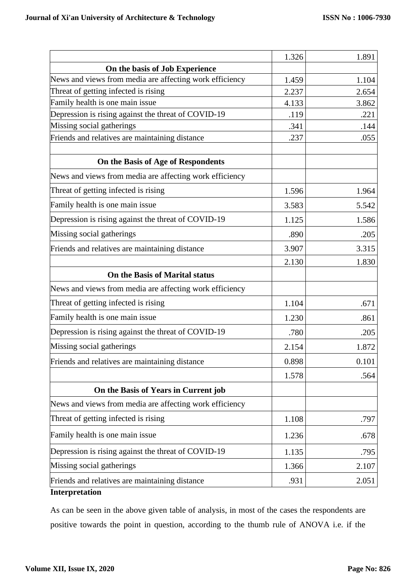|                                                         | 1.326 | 1.891 |
|---------------------------------------------------------|-------|-------|
| On the basis of Job Experience                          |       |       |
| News and views from media are affecting work efficiency | 1.459 | 1.104 |
| Threat of getting infected is rising                    | 2.237 | 2.654 |
| Family health is one main issue                         | 4.133 | 3.862 |
| Depression is rising against the threat of COVID-19     | .119  | .221  |
| Missing social gatherings                               | .341  | .144  |
| Friends and relatives are maintaining distance          | .237  | .055  |
| On the Basis of Age of Respondents                      |       |       |
| News and views from media are affecting work efficiency |       |       |
| Threat of getting infected is rising                    | 1.596 | 1.964 |
| Family health is one main issue                         | 3.583 | 5.542 |
| Depression is rising against the threat of COVID-19     | 1.125 | 1.586 |
| Missing social gatherings                               | .890  | .205  |
| Friends and relatives are maintaining distance          | 3.907 | 3.315 |
|                                                         | 2.130 | 1.830 |
| On the Basis of Marital status                          |       |       |
| News and views from media are affecting work efficiency |       |       |
| Threat of getting infected is rising                    | 1.104 | .671  |
| Family health is one main issue                         | 1.230 | .861  |
| Depression is rising against the threat of COVID-19     | .780  | .205  |
| Missing social gatherings                               | 2.154 | 1.872 |
| Friends and relatives are maintaining distance          | 0.898 | 0.101 |
|                                                         | 1.578 | .564  |
| On the Basis of Years in Current job                    |       |       |
| News and views from media are affecting work efficiency |       |       |
| Threat of getting infected is rising                    | 1.108 | .797  |
| Family health is one main issue                         | 1.236 | .678  |
| Depression is rising against the threat of COVID-19     | 1.135 | .795  |
| Missing social gatherings                               | 1.366 | 2.107 |
| Friends and relatives are maintaining distance          | .931  | 2.051 |
| Interpretation                                          |       |       |

As can be seen in the above given table of analysis, in most of the cases the respondents are positive towards the point in question, according to the thumb rule of ANOVA i.e. if the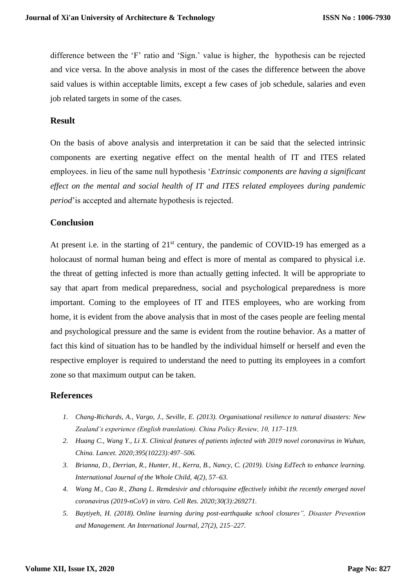difference between the 'F' ratio and 'Sign.' value is higher, the hypothesis can be rejected and vice versa. In the above analysis in most of the cases the difference between the above said values is within acceptable limits, except a few cases of job schedule, salaries and even job related targets in some of the cases.

#### **Result**

On the basis of above analysis and interpretation it can be said that the selected intrinsic components are exerting negative effect on the mental health of IT and ITES related employees. in lieu of the same null hypothesis '*Extrinsic components are having a significant effect on the mental and social health of IT and ITES related employees during pandemic period*'is accepted and alternate hypothesis is rejected.

#### **Conclusion**

At present i.e. in the starting of  $21<sup>st</sup>$  century, the pandemic of COVID-19 has emerged as a holocaust of normal human being and effect is more of mental as compared to physical i.e. the threat of getting infected is more than actually getting infected. It will be appropriate to say that apart from medical preparedness, social and psychological preparedness is more important. Coming to the employees of IT and ITES employees, who are working from home, it is evident from the above analysis that in most of the cases people are feeling mental and psychological pressure and the same is evident from the routine behavior. As a matter of fact this kind of situation has to be handled by the individual himself or herself and even the respective employer is required to understand the need to putting its employees in a comfort zone so that maximum output can be taken.

#### **References**

- *1. Chang-Richards, A., Vargo, J., Seville, E. (2013). Organisational resilience to natural disasters: New Zealand's experience (English translation). China Policy Review, 10, 117–119.*
- *2. Huang C., Wang Y., Li X. Clinical features of patients infected with 2019 novel coronavirus in Wuhan, China. Lancet. 2020;395(10223):497–506.*
- *3. Brianna, D., Derrian, R., Hunter, H., Kerra, B., Nancy, C. (2019). Using EdTech to enhance learning. International Journal of the Whole Child, 4(2), 57–63.*
- *4. Wang M., Cao R., Zhang L. Remdesivir and chloroquine effectively inhibit the recently emerged novel coronavirus (2019-nCoV) in vitro. Cell Res. 2020;30(3):269271.*
- *5. Baytiyeh, H. (2018). Online learning during post-earthquake school closures", Disaster Prevention and Management. An International Journal, 27(2), 215–227.*